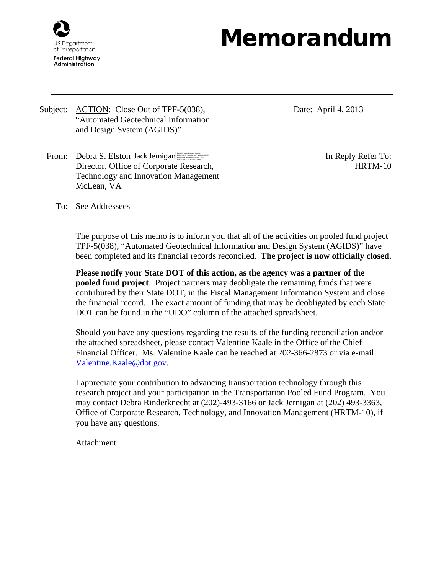

## Memorandum

- Subject: ACTION: Close Out of TPF-5(038), "Automated Geotechnical Information and Design System (AGIDS)"
	- From: Debra S. Elston Jack Jernigan **Digital Digital Date: 2013.** In Reply Refer To: Director, Office of Corporate Research, Technology and Innovation Management McLean, VA

Date: April 4, 2013

HRTM-10

To: See Addressees

The purpose of this memo is to inform you that all of the activities on pooled fund project TPF-5(038), "Automated Geotechnical Information and Design System (AGIDS)" have been completed and its financial records reconciled. **The project is now officially closed.**

**Please notify your State DOT of this action, as the agency was a partner of the pooled fund project**. Project partners may deobligate the remaining funds that were contributed by their State DOT, in the Fiscal Management Information System and close the financial record. The exact amount of funding that may be deobligated by each State DOT can be found in the "UDO" column of the attached spreadsheet.

Should you have any questions regarding the results of the funding reconciliation and/or the attached spreadsheet, please contact Valentine Kaale in the Office of the Chief Financial Officer. Ms. Valentine Kaale can be reached at 202-366-2873 or via e-mail: [Valentine.Kaale@dot.gov.](mailto:Valentine.Kaale@dot.gov)

I appreciate your contribution to advancing transportation technology through this research project and your participation in the Transportation Pooled Fund Program. You may contact Debra Rinderknecht at (202)-493-3166 or Jack Jernigan at (202) 493-3363, Office of Corporate Research, Technology, and Innovation Management (HRTM-10), if you have any questions.

Attachment